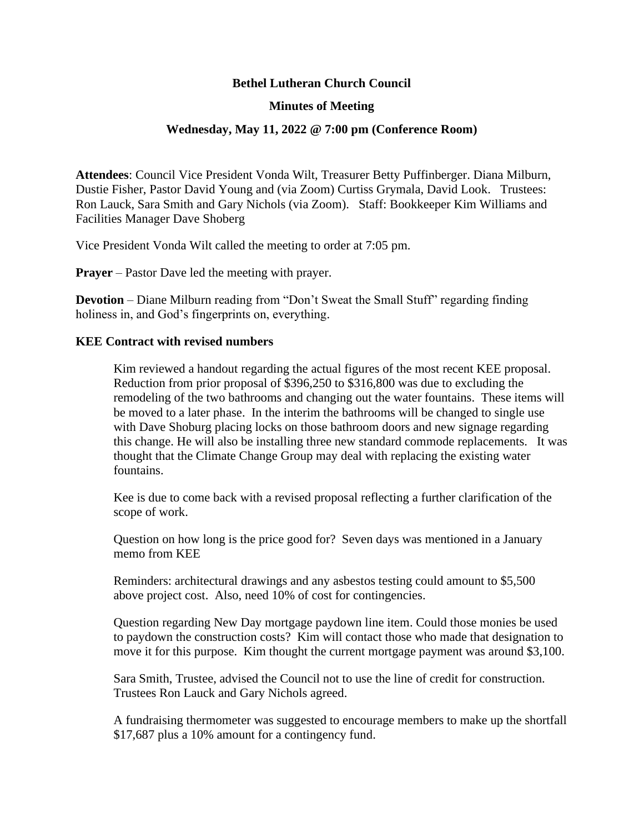# **Bethel Lutheran Church Council**

## **Minutes of Meeting**

### **Wednesday, May 11, 2022 @ 7:00 pm (Conference Room)**

**Attendees**: Council Vice President Vonda Wilt, Treasurer Betty Puffinberger. Diana Milburn, Dustie Fisher, Pastor David Young and (via Zoom) Curtiss Grymala, David Look. Trustees: Ron Lauck, Sara Smith and Gary Nichols (via Zoom). Staff: Bookkeeper Kim Williams and Facilities Manager Dave Shoberg

Vice President Vonda Wilt called the meeting to order at 7:05 pm.

**Prayer** – Pastor Dave led the meeting with prayer.

**Devotion** – Diane Milburn reading from "Don't Sweat the Small Stuff" regarding finding holiness in, and God's fingerprints on, everything.

#### **KEE Contract with revised numbers**

Kim reviewed a handout regarding the actual figures of the most recent KEE proposal. Reduction from prior proposal of \$396,250 to \$316,800 was due to excluding the remodeling of the two bathrooms and changing out the water fountains. These items will be moved to a later phase. In the interim the bathrooms will be changed to single use with Dave Shoburg placing locks on those bathroom doors and new signage regarding this change. He will also be installing three new standard commode replacements. It was thought that the Climate Change Group may deal with replacing the existing water fountains.

Kee is due to come back with a revised proposal reflecting a further clarification of the scope of work.

Question on how long is the price good for? Seven days was mentioned in a January memo from KEE

Reminders: architectural drawings and any asbestos testing could amount to \$5,500 above project cost. Also, need 10% of cost for contingencies.

Question regarding New Day mortgage paydown line item. Could those monies be used to paydown the construction costs? Kim will contact those who made that designation to move it for this purpose. Kim thought the current mortgage payment was around \$3,100.

Sara Smith, Trustee, advised the Council not to use the line of credit for construction. Trustees Ron Lauck and Gary Nichols agreed.

A fundraising thermometer was suggested to encourage members to make up the shortfall \$17,687 plus a 10% amount for a contingency fund.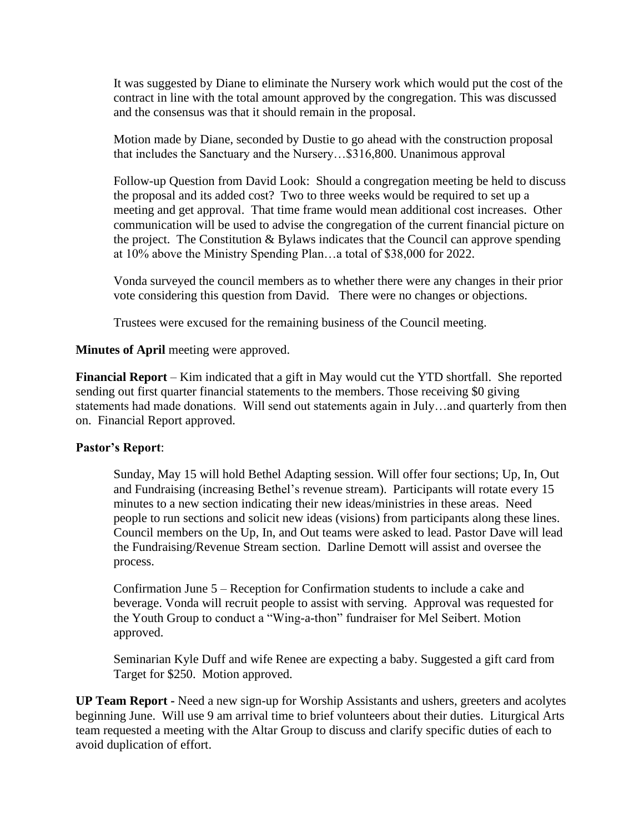It was suggested by Diane to eliminate the Nursery work which would put the cost of the contract in line with the total amount approved by the congregation. This was discussed and the consensus was that it should remain in the proposal.

Motion made by Diane, seconded by Dustie to go ahead with the construction proposal that includes the Sanctuary and the Nursery…\$316,800. Unanimous approval

Follow-up Question from David Look: Should a congregation meeting be held to discuss the proposal and its added cost? Two to three weeks would be required to set up a meeting and get approval. That time frame would mean additional cost increases. Other communication will be used to advise the congregation of the current financial picture on the project. The Constitution & Bylaws indicates that the Council can approve spending at 10% above the Ministry Spending Plan…a total of \$38,000 for 2022.

Vonda surveyed the council members as to whether there were any changes in their prior vote considering this question from David. There were no changes or objections.

Trustees were excused for the remaining business of the Council meeting.

#### **Minutes of April** meeting were approved.

**Financial Report** – Kim indicated that a gift in May would cut the YTD shortfall. She reported sending out first quarter financial statements to the members. Those receiving \$0 giving statements had made donations. Will send out statements again in July…and quarterly from then on. Financial Report approved.

## **Pastor's Report**:

Sunday, May 15 will hold Bethel Adapting session. Will offer four sections; Up, In, Out and Fundraising (increasing Bethel's revenue stream). Participants will rotate every 15 minutes to a new section indicating their new ideas/ministries in these areas. Need people to run sections and solicit new ideas (visions) from participants along these lines. Council members on the Up, In, and Out teams were asked to lead. Pastor Dave will lead the Fundraising/Revenue Stream section. Darline Demott will assist and oversee the process.

Confirmation June 5 – Reception for Confirmation students to include a cake and beverage. Vonda will recruit people to assist with serving. Approval was requested for the Youth Group to conduct a "Wing-a-thon" fundraiser for Mel Seibert. Motion approved.

Seminarian Kyle Duff and wife Renee are expecting a baby. Suggested a gift card from Target for \$250. Motion approved.

**UP Team Report -** Need a new sign-up for Worship Assistants and ushers, greeters and acolytes beginning June. Will use 9 am arrival time to brief volunteers about their duties. Liturgical Arts team requested a meeting with the Altar Group to discuss and clarify specific duties of each to avoid duplication of effort.